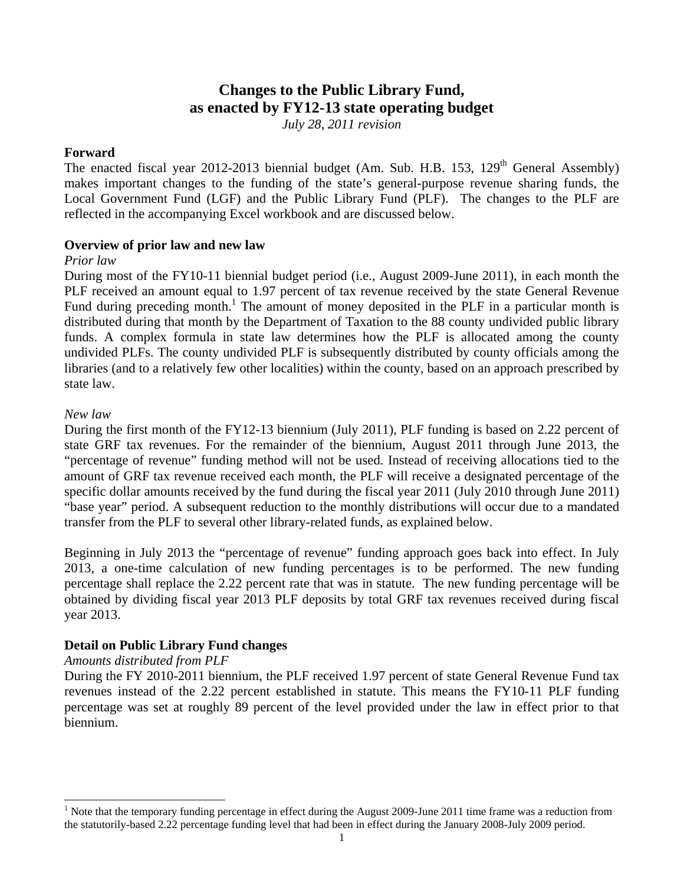# **Changes to the Public Library Fund, as enacted by FY12-13 state operating budget**

*July 28, 2011 revision* 

# **Forward**

The enacted fiscal year 2012-2013 biennial budget (Am. Sub. H.B. 153,  $129<sup>th</sup>$  General Assembly) makes important changes to the funding of the state's general-purpose revenue sharing funds, the Local Government Fund (LGF) and the Public Library Fund (PLF). The changes to the PLF are reflected in the accompanying Excel workbook and are discussed below.

## **Overview of prior law and new law**

## *Prior law*

During most of the FY10-11 biennial budget period (i.e., August 2009-June 2011), in each month the PLF received an amount equal to 1.97 percent of tax revenue received by the state General Revenue Fund during preceding month.<sup>1</sup> The amount of money deposited in the PLF in a particular month is distributed during that month by the Department of Taxation to the 88 county undivided public library funds. A complex formula in state law determines how the PLF is allocated among the county undivided PLFs. The county undivided PLF is subsequently distributed by county officials among the libraries (and to a relatively few other localities) within the county, based on an approach prescribed by state law.

## *New law*

l

state GRF tax revenues. For the remainder of the biennium, August 2011 through June 2013, the During the first month of the FY12-13 biennium (July 2011), PLF funding is based on 2.22 percent of "percentage of revenue" funding method will not be used. Instead of receiving allocations tied to the amount of GRF tax revenue received each month, the PLF will receive a designated percentage of the specific dollar amounts received by the fund during the fiscal year 2011 (July 2010 through June 2011) "base year" period. A subsequent reduction to the monthly distributions will occur due to a mandated transfer from the PLF to several other library-related funds, as explained below.

Beginning in July 2013 the "percentage of revenue" funding approach goes back into effect. In July 2013, a one-time calculation of new funding percentages is to be performed. The new funding percentage shall replace the 2.22 percent rate that was in statute. The new funding percentage will be obtained by dividing fiscal year 2013 PLF deposits by total GRF tax revenues received during fiscal year 2013.

# **Detail on Public Library Fund changes**

#### *Amounts distributed from PLF*

During the FY 2010-2011 biennium, the PLF received 1.97 percent of state General Revenue Fund tax revenues instead of the 2.22 percent established in statute. This means the FY10-11 PLF funding percentage was set at roughly 89 percent of the level provided under the law in effect prior to that biennium.

 $1$  Note that the temporary funding percentage in effect during the August 2009-June 2011 time frame was a reduction from the statutorily-based 2.22 percentage funding level that had been in effect during the January 2008-July 2009 period.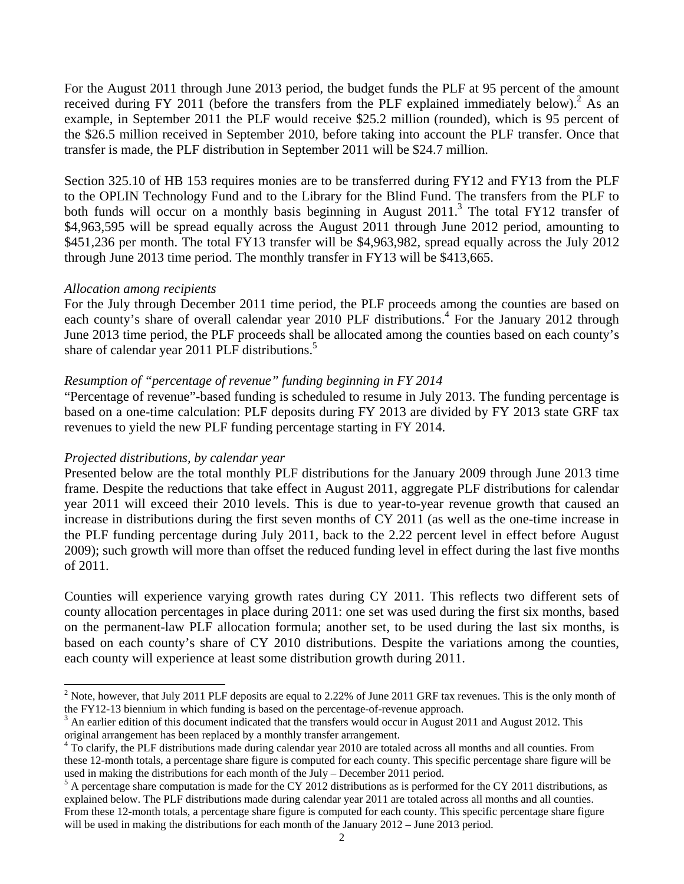For the August 2011 through June 2013 period, the budget funds the PLF at 95 percent of the amount received during FY 2011 (before the transfers from the PLF explained immediately below).<sup>2</sup> As an example, in September 2011 the PLF would receive \$25.2 million (rounded), which is 95 percent of the \$26.5 million received in September 2010, before taking into account the PLF transfer. Once that transfer is made, the PLF distribution in September 2011 will be \$24.7 million.

Section 325.10 of HB 153 requires monies are to be transferred during FY12 and FY13 from the PLF to the OPLIN Technology Fund and to the Library for the Blind Fund. The transfers from the PLF to both funds will occur on a monthly basis beginning in August  $2011$ .<sup>3</sup> The total FY12 transfer of \$4,963,595 will be spread equally across the August 2011 through June 2012 period, amounting to \$451,236 per month. The total FY13 transfer will be \$4,963,982, spread equally across the July 2012 through June 2013 time period. The monthly transfer in FY13 will be \$413,665.

## *Allocation among recipients*

l

share of calendar year 2011 PLF distributions.<sup>5</sup> For the July through December 2011 time period, the PLF proceeds among the counties are based on each county's share of overall calendar year 2010 PLF distributions.<sup>4</sup> For the January 2012 through June 2013 time period, the PLF proceeds shall be allocated among the counties based on each county's

# *Resumption of "percentage of revenue" funding beginning in FY 2014*

"Percentage of revenue"-based funding is scheduled to resume in July 2013. The funding percentage is based on a one-time calculation: PLF deposits during FY 2013 are divided by FY 2013 state GRF tax revenues to yield the new PLF funding percentage starting in FY 2014.

# *Projected distributions, by calendar year*

Presented below are the total monthly PLF distributions for the January 2009 through June 2013 time frame. Despite the reductions that take effect in August 2011, aggregate PLF distributions for calendar year 2011 will exceed their 2010 levels. This is due to year-to-year revenue growth that caused an increase in distributions during the first seven months of CY 2011 (as well as the one-time increase in the PLF funding percentage during July 2011, back to the 2.22 percent level in effect before August 2009); such growth will more than offset the reduced funding level in effect during the last five months of 2011.

Counties will experience varying growth rates during CY 2011. This reflects two different sets of county allocation percentages in place during 2011: one set was used during the first six months, based on the permanent-law PLF allocation formula; another set, to be used during the last six months, is based on each county's share of CY 2010 distributions. Despite the variations among the counties, each county will experience at least some distribution growth during 2011.

<sup>&</sup>lt;sup>2</sup> Note, however, that July 2011 PLF deposits are equal to 2.22% of June 2011 GRF tax revenues. This is the only month of the FY12-13 biennium in which funding is based on the percentage-of-revenue approach.

<sup>&</sup>lt;sup>3</sup> An earlier edition of this document indicated that the transfers would occur in August 2011 and August 2012. This original arrangement has been replaced by a monthly transfer arrangement.

<sup>&</sup>lt;sup>4</sup> To clarify, the PLF distributions made during calendar year 2010 are totaled across all months and all counties. From these 12-month totals, a percentage share figure is computed for each county. This specific percentage share figure will be used in making the distributions for each month of the July – December 2011 period.

 A percentage share computation is made for the CY 2012 distributions as is performed for the CY 2011 distributions, as will be used in making the distributions for each month of the January 2012 – June 2013 period. explained below. The PLF distributions made during calendar year 2011 are totaled across all months and all counties. From these 12-month totals, a percentage share figure is computed for each county. This specific percentage share figure